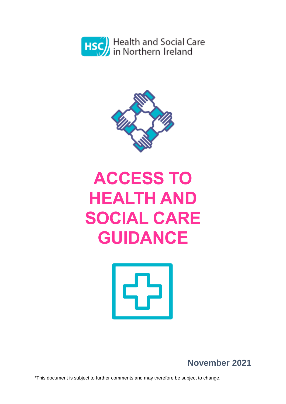



# **ACCESS TO HEALTH AND SOCIAL CARE GUIDANCE**



**November 2021**

\*This document is subject to further comments and may therefore be subject to change.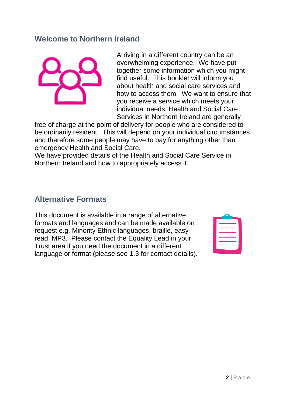#### **Welcome to Northern Ireland**



Arriving in a different country can be an overwhelming experience. We have put together some information which you might find useful. This booklet will inform you about health and social care services and how to access them. We want to ensure that you receive a service which meets your individual needs. Health and Social Care Services in Northern Ireland are generally

free of charge at the point of delivery for people who are considered to be ordinarily resident. This will depend on your individual circumstances and therefore some people may have to pay for anything other than emergency Health and Social Care.

We have provided details of the Health and Social Care Service in Northern Ireland and how to appropriately access it.

#### **Alternative Formats**

This document is available in a range of alternative formats and languages and can be made available on request e.g. Minority Ethnic languages, braille, easyread, MP3. Please contact the Equality Lead in your Trust area if you need the document in a different language or format (please see 1.3 for contact details).

| _____ |  |
|-------|--|
|       |  |
|       |  |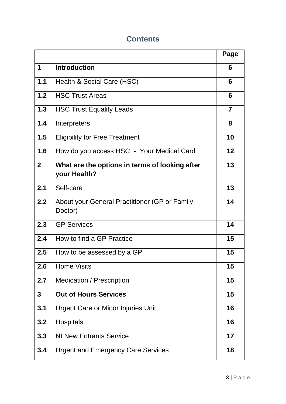#### **Contents**

|                |                                                                | Page |
|----------------|----------------------------------------------------------------|------|
| 1              | <b>Introduction</b>                                            | 6    |
| $1.1$          | Health & Social Care (HSC)                                     | 6    |
| 1.2            | <b>HSC Trust Areas</b>                                         | 6    |
| 1.3            | <b>HSC Trust Equality Leads</b>                                | 7    |
| 1.4            | Interpreters                                                   | 8    |
| 1.5            | <b>Eligibility for Free Treatment</b>                          | 10   |
| 1.6            | How do you access HSC - Your Medical Card                      | 12   |
| 2 <sup>1</sup> | What are the options in terms of looking after<br>your Health? | 13   |
| 2.1            | Self-care                                                      | 13   |
| 2.2            | About your General Practitioner (GP or Family<br>Doctor)       | 14   |
| 2.3            | <b>GP Services</b>                                             | 14   |
| 2.4            | How to find a GP Practice                                      | 15   |
| 2.5            | How to be assessed by a GP                                     | 15   |
| 2.6            | <b>Home Visits</b>                                             | 15   |
| 2.7            | <b>Medication / Prescription</b>                               | 15   |
| $\mathbf{3}$   | <b>Out of Hours Services</b>                                   | 15   |
| 3.1            | <b>Urgent Care or Minor Injuries Unit</b>                      | 16   |
| 3.2            | <b>Hospitals</b>                                               | 16   |
| 3.3            | <b>NI New Entrants Service</b>                                 | 17   |
| 3.4            | <b>Urgent and Emergency Care Services</b>                      | 18   |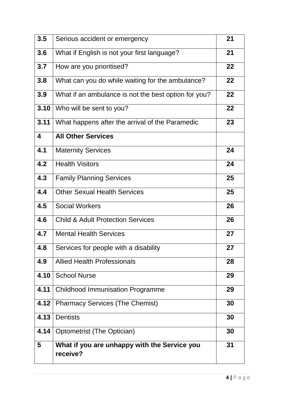| 3.5  | Serious accident or emergency                            | 21 |
|------|----------------------------------------------------------|----|
| 3.6  | What if English is not your first language?              | 21 |
| 3.7  | How are you prioritised?                                 | 22 |
| 3.8  | What can you do while waiting for the ambulance?         | 22 |
| 3.9  | What if an ambulance is not the best option for you?     | 22 |
| 3.10 | Who will be sent to you?                                 | 22 |
| 3.11 | What happens after the arrival of the Paramedic          | 23 |
| 4    | <b>All Other Services</b>                                |    |
| 4.1  | <b>Maternity Services</b>                                | 24 |
| 4.2  | <b>Health Visitors</b>                                   | 24 |
| 4.3  | <b>Family Planning Services</b>                          | 25 |
| 4.4  | <b>Other Sexual Health Services</b>                      | 25 |
| 4.5  | <b>Social Workers</b>                                    | 26 |
| 4.6  | <b>Child &amp; Adult Protection Services</b>             | 26 |
| 4.7  | <b>Mental Health Services</b>                            | 27 |
| 4.8  | Services for people with a disability                    | 27 |
| 4.9  | <b>Allied Health Professionals</b>                       | 28 |
| 4.10 | <b>School Nurse</b>                                      | 29 |
| 4.11 | <b>Childhood Immunisation Programme</b>                  | 29 |
| 4.12 | <b>Pharmacy Services (The Chemist)</b>                   | 30 |
| 4.13 | <b>Dentists</b>                                          | 30 |
| 4.14 | Optometrist (The Optician)                               | 30 |
| 5    | What if you are unhappy with the Service you<br>receive? | 31 |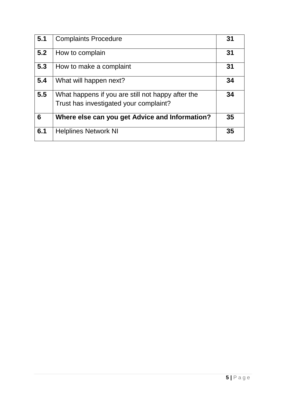| 5.1 | <b>Complaints Procedure</b>                       | 31 |
|-----|---------------------------------------------------|----|
| 5.2 | How to complain                                   | 31 |
| 5.3 | How to make a complaint                           | 31 |
| 5.4 | What will happen next?                            | 34 |
| 5.5 | What happens if you are still not happy after the | 34 |
|     | Trust has investigated your complaint?            |    |
| 6   | Where else can you get Advice and Information?    | 35 |
| 6.1 | <b>Helplines Network NI</b>                       | 35 |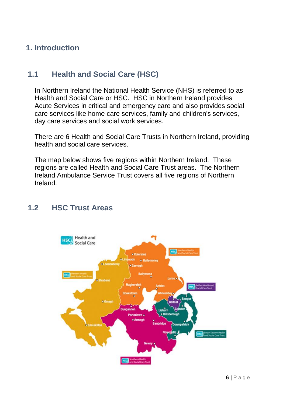## **1. Introduction**

### **1.1 Health and Social Care (HSC)**

In Northern Ireland the National Health Service (NHS) is referred to as Health and Social Care or HSC. HSC in Northern Ireland provides Acute Services in critical and emergency care and also provides social care services like home care services, family and children's services, day care services and social work services.

There are 6 Health and Social Care Trusts in Northern Ireland, providing health and social care services.

The map below shows five regions within Northern Ireland. These regions are called Health and Social Care Trust areas. The Northern Ireland Ambulance Service Trust covers all five regions of Northern Ireland.

#### **1.2 HSC Trust Areas**

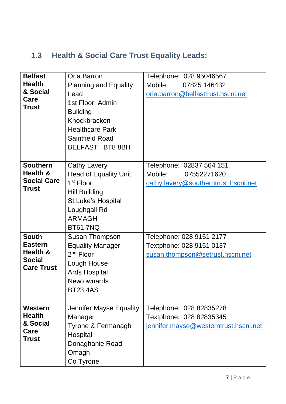## **1.3 Health & Social Care Trust Equality Leads:**

| <b>Belfast</b><br><b>Health</b><br>& Social<br>Care<br><b>Trust</b>              | Orla Barron<br><b>Planning and Equality</b><br>Lead<br>1st Floor, Admin<br><b>Building</b><br>Knockbracken<br><b>Healthcare Park</b><br><b>Saintfield Road</b><br>BELFAST BT8 8BH | Telephone: 028 95046567<br>Mobile:<br>07825 146432<br>orla.barron@belfasttrust.hscni.net    |
|----------------------------------------------------------------------------------|-----------------------------------------------------------------------------------------------------------------------------------------------------------------------------------|---------------------------------------------------------------------------------------------|
| <b>Southern</b><br>Health &<br><b>Social Care</b><br><b>Trust</b>                | Cathy Lavery<br><b>Head of Equality Unit</b><br>1 <sup>st</sup> Floor<br><b>Hill Building</b><br>St Luke's Hospital<br>Loughgall Rd<br><b>ARMAGH</b><br><b>BT61 7NQ</b>           | Telephone: 02837 564 151<br>Mobile:<br>07552271620<br>cathy.lavery@southerntrust.hscni.net  |
| <b>South</b><br><b>Eastern</b><br>Health &<br><b>Social</b><br><b>Care Trust</b> | <b>Susan Thompson</b><br><b>Equality Manager</b><br>$2nd$ Floor<br>Lough House<br><b>Ards Hospital</b><br><b>Newtownards</b><br><b>BT23 4AS</b>                                   | Telephone: 028 9151 2177<br>Textphone: 028 9151 0137<br>susan.thompson@setrust.hscni.net    |
| Western<br><b>Health</b><br>& Social<br>Care<br><b>Trust</b>                     | Jennifer Mayse Equality<br>Manager<br>Tyrone & Fermanagh<br>Hospital<br>Donaghanie Road<br>Omagh<br>Co Tyrone                                                                     | Telephone: 028 82835278<br>Textphone: 028 82835345<br>jennifer.mayse@westerntrust.hscni.net |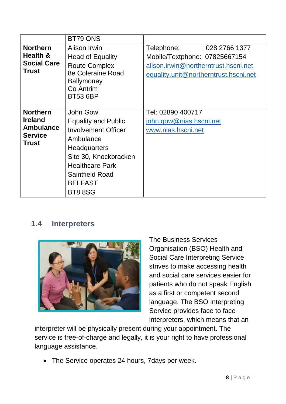|                                                                                         | BT79 ONS                                                                                                                                                                                                           |                                                                                                                |
|-----------------------------------------------------------------------------------------|--------------------------------------------------------------------------------------------------------------------------------------------------------------------------------------------------------------------|----------------------------------------------------------------------------------------------------------------|
| <b>Northern</b>                                                                         | Alison Irwin                                                                                                                                                                                                       | Telephone:<br>028 2766 1377                                                                                    |
| Health &<br><b>Social Care</b><br><b>Trust</b>                                          | <b>Head of Equality</b><br><b>Route Complex</b><br>8e Coleraine Road<br><b>Ballymoney</b><br>Co Antrim<br><b>BT53 6BP</b>                                                                                          | Mobile/Textphone: 07825667154<br>alison.irwin@northerntrust.hscni.net<br>equality.unit@northerntrust.hscni.net |
| <b>Northern</b><br><b>Ireland</b><br><b>Ambulance</b><br><b>Service</b><br><b>Trust</b> | John Gow<br><b>Equality and Public</b><br><b>Involvement Officer</b><br>Ambulance<br>Headquarters<br>Site 30, Knockbracken<br><b>Healthcare Park</b><br><b>Saintfield Road</b><br><b>BELFAST</b><br><b>BT8 8SG</b> | Tel: 02890 400717<br>john.gow@nias.hscni.net<br>www.nias.hscni.net                                             |

#### **1.4 Interpreters**



The Business Services Organisation (BSO) Health and Social Care Interpreting Service strives to make accessing health and social care services easier for patients who do not speak English as a first or competent second language. The BSO Interpreting Service provides face to face interpreters, which means that an

interpreter will be physically present during your appointment. The service is free-of-charge and legally, it is your right to have professional language assistance.

• The Service operates 24 hours, 7 days per week.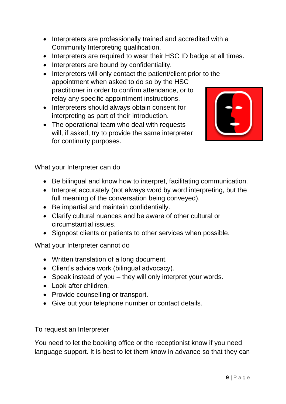- Interpreters are professionally trained and accredited with a Community Interpreting qualification.
- Interpreters are required to wear their HSC ID badge at all times.
- Interpreters are bound by confidentiality.
- Interpreters will only contact the patient/client prior to the appointment when asked to do so by the HSC practitioner in order to confirm attendance, or to relay any specific appointment instructions.
- Interpreters should always obtain consent for interpreting as part of their introduction.
- The operational team who deal with requests will, if asked, try to provide the same interpreter for continuity purposes.



What your Interpreter can do

- Be bilingual and know how to interpret, facilitating communication.
- Interpret accurately (not always word by word interpreting, but the full meaning of the conversation being conveyed).
- Be impartial and maintain confidentially.
- Clarify cultural nuances and be aware of other cultural or circumstantial issues.
- Signpost clients or patients to other services when possible.

What your Interpreter cannot do

- Written translation of a long document.
- Client's advice work (bilingual advocacy).
- Speak instead of you they will only interpret your words.
- Look after children.
- Provide counselling or transport.
- Give out your telephone number or contact details.

To request an Interpreter

You need to let the booking office or the receptionist know if you need language support. It is best to let them know in advance so that they can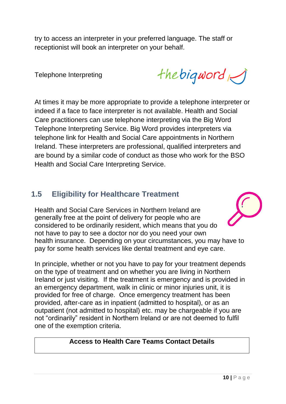try to access an interpreter in your preferred language. The staff or receptionist will book an interpreter on your behalf.

Telephone Interpreting

the bigword

At times it may be more appropriate to provide a telephone interpreter or indeed if a face to face interpreter is not available. Health and Social Care practitioners can use telephone interpreting via the Big Word Telephone Interpreting Service. Big Word provides interpreters via telephone link for Health and Social Care appointments in Northern Ireland. These interpreters are professional, qualified interpreters and are bound by a similar code of conduct as those who work for the BSO Health and Social Care Interpreting Service.

#### **1.5 Eligibility for Healthcare Treatment**

Health and Social Care Services in Northern Ireland are generally free at the point of delivery for people who are considered to be ordinarily resident, which means that you do not have to pay to see a doctor nor do you need your own health insurance. Depending on your circumstances, you may have to pay for some health services like dental treatment and eye care.

In principle, whether or not you have to pay for your treatment depends on the type of treatment and on whether you are living in Northern Ireland or just visiting. If the treatment is emergency and is provided in an emergency department, walk in clinic or minor injuries unit, it is provided for free of charge. Once emergency treatment has been provided, after-care as in inpatient (admitted to hospital), or as an outpatient (not admitted to hospital) etc. may be chargeable if you are not "ordinarily" resident in Northern Ireland or are not deemed to fulfil one of the exemption criteria.

#### **Access to Health Care Teams Contact Details**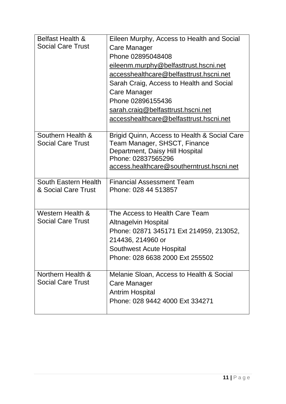| <b>Belfast Health &amp;</b> | Eileen Murphy, Access to Health and Social                             |
|-----------------------------|------------------------------------------------------------------------|
| <b>Social Care Trust</b>    | Care Manager                                                           |
|                             | Phone 02895048408                                                      |
|                             | eileenm.murphy@belfasttrust.hscni.net                                  |
|                             | accesshealthcare@belfasttrust.hscni.net                                |
|                             | Sarah Craig, Access to Health and Social                               |
|                             | Care Manager                                                           |
|                             | Phone 02896155436                                                      |
|                             | sarah.craig@belfasttrust.hscni.net                                     |
|                             | accesshealthcare@belfasttrust.hscni.net                                |
|                             |                                                                        |
| Southern Health &           | Brigid Quinn, Access to Health & Social Care                           |
| <b>Social Care Trust</b>    | Team Manager, SHSCT, Finance                                           |
|                             | Department, Daisy Hill Hospital<br>Phone: 02837565296                  |
|                             | access.healthcare@southerntrust.hscni.net                              |
|                             |                                                                        |
| South Eastern Health        | <b>Financial Assessment Team</b>                                       |
| & Social Care Trust         | Phone: 028 44 513857                                                   |
|                             |                                                                        |
| Western Health &            | The Access to Health Care Team                                         |
| <b>Social Care Trust</b>    |                                                                        |
|                             | <b>Altnagelvin Hospital</b><br>Phone: 02871 345171 Ext 214959, 213052, |
|                             | 214436, 214960 or                                                      |
|                             | Southwest Acute Hospital                                               |
|                             | Phone: 028 6638 2000 Ext 255502                                        |
|                             |                                                                        |
| Northern Health &           | Melanie Sloan, Access to Health & Social                               |
| <b>Social Care Trust</b>    | Care Manager                                                           |
|                             | <b>Antrim Hospital</b>                                                 |
|                             | Phone: 028 9442 4000 Ext 334271                                        |
|                             |                                                                        |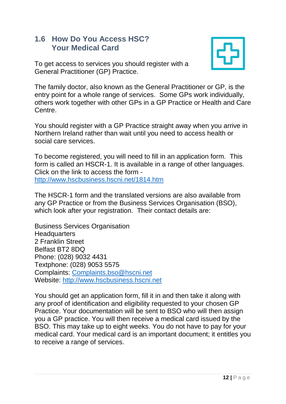#### **1.6 How Do You Access HSC? Your Medical Card**



To get access to services you should register with a General Practitioner (GP) Practice.

The family doctor, also known as the General Practitioner or GP, is the entry point for a whole range of services. Some GPs work individually, others work together with other GPs in a GP Practice or Health and Care Centre.

You should register with a GP Practice straight away when you arrive in Northern Ireland rather than wait until you need to access health or social care services.

To become registered, you will need to fill in an application form. This form is called an HSCR-1. It is available in a range of other languages. Click on the link to access the form <http://www.hscbusiness.hscni.net/1814.htm>

The HSCR-1 form and the translated versions are also available from any GP Practice or from the Business Services Organisation (BSO), which look after your registration. Their contact details are:

Business Services Organisation **Headquarters** 2 Franklin Street Belfast BT2 8DQ Phone: (028) 9032 4431 Textphone: (028) 9053 5575 Complaints: [Complaints.bso@hscni.net](mailto:Complaints.bso@hscni.net)  Website: [http://www.hscbusiness.hscni.net](http://www.hscbusiness.hscni.net/)

You should get an application form, fill it in and then take it along with any proof of identification and eligibility requested to your chosen GP Practice. Your documentation will be sent to BSO who will then assign you a GP practice. You will then receive a medical card issued by the BSO. This may take up to eight weeks. You do not have to pay for your medical card. Your medical card is an important document; it entitles you to receive a range of services.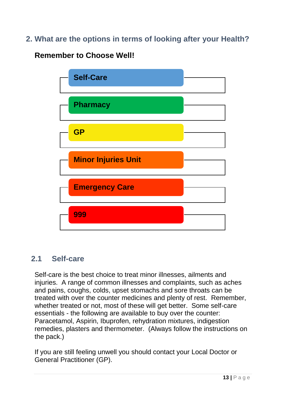**2. What are the options in terms of looking after your Health?**

### **Remember to Choose Well!**



### **2.1 Self-care**

Self-care is the best choice to treat minor illnesses, ailments and injuries. A range of common illnesses and complaints, such as aches and pains, coughs, colds, upset stomachs and sore throats can be treated with over the counter medicines and plenty of rest. Remember, whether treated or not, most of these will get better. Some self-care essentials - the following are available to buy over the counter: Paracetamol, Aspirin, Ibuprofen, rehydration mixtures, indigestion remedies, plasters and thermometer. (Always follow the instructions on the pack.)

If you are still feeling unwell you should contact your Local Doctor or General Practitioner (GP).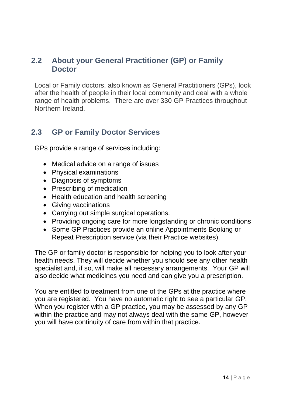#### **2.2 About your General Practitioner (GP) or Family Doctor**

Local or Family doctors, also known as General Practitioners (GPs), look after the health of people in their local community and deal with a whole range of health problems. There are over 330 GP Practices throughout Northern Ireland.

### **2.3 GP or Family Doctor Services**

GPs provide a range of services including:

- Medical advice on a range of issues
- Physical examinations
- Diagnosis of symptoms
- Prescribing of medication
- Health education and health screening
- Giving vaccinations
- Carrying out simple surgical operations.
- Providing ongoing care for more longstanding or chronic conditions
- Some GP Practices provide an online Appointments Booking or Repeat Prescription service (via their Practice websites).

The GP or family doctor is responsible for helping you to look after your health needs. They will decide whether you should see any other health specialist and, if so, will make all necessary arrangements. Your GP will also decide what medicines you need and can give you a prescription.

You are entitled to treatment from one of the GPs at the practice where you are registered. You have no automatic right to see a particular GP. When you register with a GP practice, you may be assessed by any GP within the practice and may not always deal with the same GP, however you will have continuity of care from within that practice.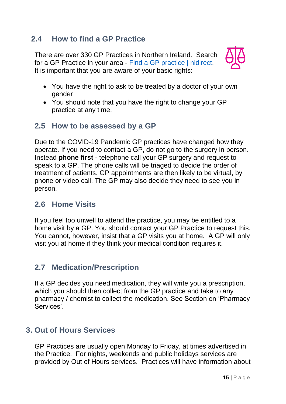### **2.4 How to find a GP Practice**

There are over 330 GP Practices in Northern Ireland. Search for a GP Practice in your area - [Find a GP practice | nidirect.](https://www.nidirect.gov.uk/services/gp-practices) It is important that you are aware of your basic rights:



- You have the right to ask to be treated by a doctor of your own gender
- You should note that you have the right to change your GP practice at any time.

#### **2.5 How to be assessed by a GP**

Due to the COVID-19 Pandemic GP practices have changed how they operate. If you need to contact a GP, do not go to the surgery in person. Instead **phone first** - telephone call your GP surgery and request to speak to a GP. The phone calls will be triaged to decide the order of treatment of patients. GP appointments are then likely to be virtual, by phone or video call. The GP may also decide they need to see you in person.

#### **2.6 Home Visits**

If you feel too unwell to attend the practice, you may be entitled to a home visit by a GP. You should contact your GP Practice to request this. You cannot, however, insist that a GP visits you at home. A GP will only visit you at home if they think your medical condition requires it.

### **2.7 Medication/Prescription**

If a GP decides you need medication, they will write you a prescription, which you should then collect from the GP practice and take to any pharmacy / chemist to collect the medication. See Section on 'Pharmacy Services'.

### **3. Out of Hours Services**

GP Practices are usually open Monday to Friday, at times advertised in the Practice. For nights, weekends and public holidays services are provided by Out of Hours services. Practices will have information about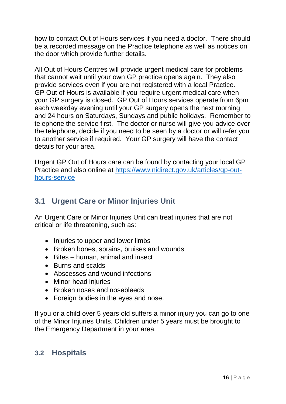how to contact Out of Hours services if you need a doctor. There should be a recorded message on the Practice telephone as well as notices on the door which provide further details.

All Out of Hours Centres will provide urgent medical care for problems that cannot wait until your own GP practice opens again. They also provide services even if you are not registered with a local Practice. GP Out of Hours is available if you require urgent medical care when your GP surgery is closed. GP Out of Hours services operate from 6pm each weekday evening until your GP surgery opens the next morning and 24 hours on Saturdays, Sundays and public holidays. Remember to telephone the service first. The doctor or nurse will give you advice over the telephone, decide if you need to be seen by a doctor or will refer you to another service if required. Your GP surgery will have the contact details for your area.

Urgent GP Out of Hours care can be found by contacting your local GP Practice and also online at [https://www.nidirect.gov.uk/articles/gp-out](https://www.nidirect.gov.uk/articles/gp-out-hours-service)[hours-service](https://www.nidirect.gov.uk/articles/gp-out-hours-service)

#### **3.1 Urgent Care or Minor Injuries Unit**

An Urgent Care or Minor Injuries Unit can treat injuries that are not critical or life threatening, such as:

- Injuries to upper and lower limbs
- Broken bones, sprains, bruises and wounds
- Bites human, animal and insect
- Burns and scalds
- Abscesses and wound infections
- Minor head injuries
- Broken noses and nosebleeds
- Foreign bodies in the eyes and nose.

If you or a child over 5 years old suffers a minor injury you can go to one of the Minor Injuries Units. Children under 5 years must be brought to the Emergency Department in your area.

#### **3.2 Hospitals**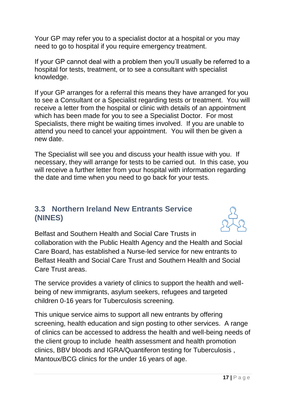Your GP may refer you to a specialist doctor at a hospital or you may need to go to hospital if you require emergency treatment.

If your GP cannot deal with a problem then you'll usually be referred to a hospital for tests, treatment, or to see a consultant with specialist knowledge.

If your GP arranges for a referral this means they have arranged for you to see a Consultant or a Specialist regarding tests or treatment. You will receive a letter from the hospital or clinic with details of an appointment which has been made for you to see a Specialist Doctor. For most Specialists, there might be waiting times involved. If you are unable to attend you need to cancel your appointment. You will then be given a new date.

The Specialist will see you and discuss your health issue with you. If necessary, they will arrange for tests to be carried out. In this case, you will receive a further letter from your hospital with information regarding the date and time when you need to go back for your tests.

#### **3.3 Northern Ireland New Entrants Service (NINES)**



Belfast and Southern Health and Social Care Trusts in collaboration with the Public Health Agency and the Health and Social Care Board, has established a Nurse-led service for new entrants to Belfast Health and Social Care Trust and Southern Health and Social Care Trust areas.

The service provides a variety of clinics to support the health and wellbeing of new immigrants, asylum seekers, refugees and targeted children 0-16 years for Tuberculosis screening.

This unique service aims to support all new entrants by offering screening, health education and sign posting to other services. A range of clinics can be accessed to address the health and well-being needs of the client group to include health assessment and health promotion clinics, BBV bloods and IGRA/Quantiferon testing for Tuberculosis , Mantoux/BCG clinics for the under 16 years of age.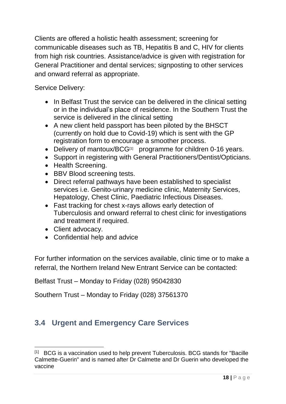Clients are offered a holistic health assessment; screening for communicable diseases such as TB, Hepatitis B and C, HIV for clients from high risk countries. Assistance/advice is given with registration for General Practitioner and dental services; signposting to other services and onward referral as appropriate.

Service Delivery:

- In Belfast Trust the service can be delivered in the clinical setting or in the individual's place of residence. In the Southern Trust the service is delivered in the clinical setting
- A new client held passport has been piloted by the BHSCT (currently on hold due to Covid-19) which is sent with the GP registration form to encourage a smoother process.
- Delivery of mantoux/BCG<sup>[1]</sup> programme for children 0-16 years.
- Support in registering with General Practitioners/Dentist/Opticians.
- Health Screening.
- BBV Blood screening tests.
- Direct referral pathways have been established to specialist services i.e. Genito-urinary medicine clinic, Maternity Services, Hepatology, Chest Clinic, Paediatric Infectious Diseases.
- Fast tracking for chest x-rays allows early detection of Tuberculosis and onward referral to chest clinic for investigations and treatment if required.
- Client advocacy.

1

Confidential help and advice

For further information on the services available, clinic time or to make a referral, the Northern Ireland New Entrant Service can be contacted:

Belfast Trust – Monday to Friday (028) 95042830

Southern Trust – Monday to Friday (028) 37561370

## **3.4 Urgent and Emergency Care Services**

<sup>[1]</sup> BCG is a vaccination used to help prevent Tuberculosis. BCG stands for "Bacille Calmette-Guerin" and is named after Dr Calmette and Dr Guerin who developed the vaccine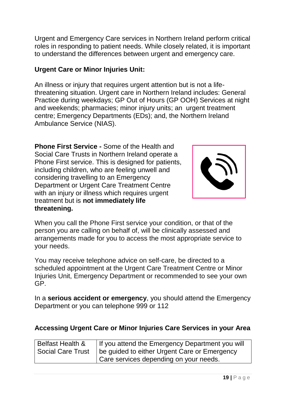Urgent and Emergency Care services in Northern Ireland perform critical roles in responding to patient needs. While closely related, it is important to understand the differences between urgent and emergency care.

#### **Urgent Care or Minor Injuries Unit:**

An illness or injury that requires urgent attention but is not a lifethreatening situation. Urgent care in Northern Ireland includes: General Practice during weekdays; GP Out of Hours (GP OOH) Services at night and weekends; pharmacies; minor injury units; an urgent treatment centre; Emergency Departments (EDs); and, the Northern Ireland Ambulance Service (NIAS).

**Phone First Service -** Some of the Health and Social Care Trusts in Northern Ireland operate a Phone First service. This is designed for patients, including children, who are feeling unwell and considering travelling to an Emergency Department or Urgent Care Treatment Centre with an injury or illness which requires urgent treatment but is **not immediately life threatening.**



When you call the Phone First service your condition, or that of the person you are calling on behalf of, will be clinically assessed and arrangements made for you to access the most appropriate service to your needs.

You may receive telephone advice on self-care, be directed to a scheduled appointment at the Urgent Care Treatment Centre or Minor Injuries Unit, Emergency Department or recommended to see your own GP.

In a **serious accident or emergency**, you should attend the Emergency Department or you can telephone 999 or 112

#### **Accessing Urgent Care or Minor Injuries Care Services in your Area**

| <b>Belfast Health &amp;</b> | If you attend the Emergency Department you will |
|-----------------------------|-------------------------------------------------|
| <b>Social Care Trust</b>    | be quided to either Urgent Care or Emergency    |
|                             | Care services depending on your needs.          |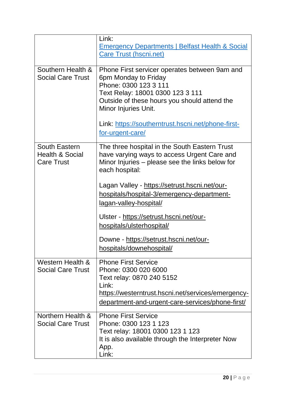|                            | Link:                                                      |
|----------------------------|------------------------------------------------------------|
|                            | <b>Emergency Departments   Belfast Health &amp; Social</b> |
|                            | <b>Care Trust (hscni.net)</b>                              |
|                            |                                                            |
| Southern Health &          | Phone First servicer operates between 9am and              |
| <b>Social Care Trust</b>   | 6pm Monday to Friday                                       |
|                            | Phone: 0300 123 3 111                                      |
|                            | Text Relay: 18001 0300 123 3 111                           |
|                            | Outside of these hours you should attend the               |
|                            | Minor Injuries Unit.                                       |
|                            |                                                            |
|                            | Link: https://southerntrust.hscni.net/phone-first-         |
|                            | for-urgent-care/                                           |
|                            |                                                            |
| South Eastern              | The three hospital in the South Eastern Trust              |
| <b>Health &amp; Social</b> | have varying ways to access Urgent Care and                |
| <b>Care Trust</b>          | Minor Injuries – please see the links below for            |
|                            | each hospital:                                             |
|                            | Lagan Valley - https://setrust.hscni.net/our-              |
|                            | hospitals/hospital-3/emergency-department-                 |
|                            | lagan-valley-hospital/                                     |
|                            |                                                            |
|                            | Ulster - https://setrust.hscni.net/our-                    |
|                            | hospitals/ulsterhospital/                                  |
|                            |                                                            |
|                            | Downe - https://setrust.hscni.net/our-                     |
|                            | hospitals/downehospital/                                   |
| Western Health &           | <b>Phone First Service</b>                                 |
| <b>Social Care Trust</b>   | Phone: 0300 020 6000                                       |
|                            | Text relay: 0870 240 5152                                  |
|                            | Link:                                                      |
|                            |                                                            |
|                            | https://westerntrust.hscni.net/services/emergency-         |
|                            | <u>department-and-urgent-care-services/phone-first/</u>    |
| Northern Health &          | <b>Phone First Service</b>                                 |
| <b>Social Care Trust</b>   | Phone: 0300 123 1 123                                      |
|                            | Text relay: 18001 0300 123 1 123                           |
|                            | It is also available through the Interpreter Now           |
|                            | App.                                                       |
|                            | Link:                                                      |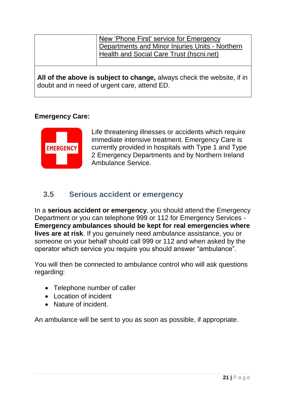| New 'Phone First' service for Emergency         |
|-------------------------------------------------|
|                                                 |
| Departments and Minor Injuries Units - Northern |
| Health and Social Care Trust (hscni.net)        |
|                                                 |

**All of the above is subject to change,** always check the website, if in doubt and in need of urgent care, attend ED.

#### **Emergency Care:**



Life threatening illnesses or accidents which require immediate intensive treatment. Emergency Care is currently provided in hospitals with Type 1 and Type 2 Emergency Departments and by Northern Ireland Ambulance Service.

## **3.5 Serious accident or emergency**

In a **serious accident or emergency**, you should attend the Emergency Department or you can telephone 999 or 112 for Emergency Services - **Emergency ambulances should be kept for real emergencies where lives are at risk**. If you genuinely need ambulance assistance, you or someone on your behalf should call 999 or 112 and when asked by the operator which service you require you should answer "ambulance".

You will then be connected to ambulance control who will ask questions regarding:

- Telephone number of caller
- Location of incident
- Nature of incident.

An ambulance will be sent to you as soon as possible, if appropriate.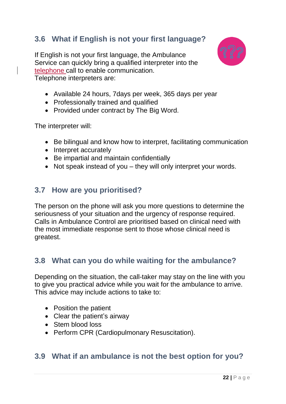## **3.6 What if English is not your first language?**

If English is not your first language, the Ambulance Service can quickly bring a qualified interpreter into the telephone call to enable communication. Telephone interpreters are:



- Available 24 hours, 7days per week, 365 days per year
- Professionally trained and qualified
- Provided under contract by The Big Word.

The interpreter will:

- Be bilingual and know how to interpret, facilitating communication
- Interpret accurately
- Be impartial and maintain confidentially
- Not speak instead of you they will only interpret your words.

#### **3.7 How are you prioritised?**

The person on the phone will ask you more questions to determine the seriousness of your situation and the urgency of response required. Calls in Ambulance Control are prioritised based on clinical need with the most immediate response sent to those whose clinical need is greatest.

#### **3.8 What can you do while waiting for the ambulance?**

Depending on the situation, the call-taker may stay on the line with you to give you practical advice while you wait for the ambulance to arrive. This advice may include actions to take to:

- Position the patient
- Clear the patient's airway
- Stem blood loss
- Perform CPR (Cardiopulmonary Resuscitation).

#### **3.9 What if an ambulance is not the best option for you?**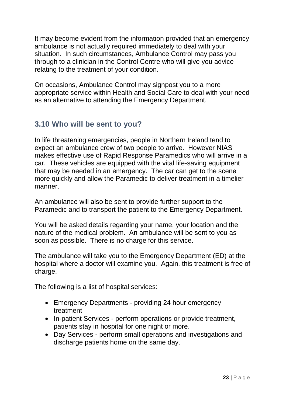It may become evident from the information provided that an emergency ambulance is not actually required immediately to deal with your situation. In such circumstances, Ambulance Control may pass you through to a clinician in the Control Centre who will give you advice relating to the treatment of your condition.

On occasions, Ambulance Control may signpost you to a more appropriate service within Health and Social Care to deal with your need as an alternative to attending the Emergency Department.

## **3.10 Who will be sent to you?**

In life threatening emergencies, people in Northern Ireland tend to expect an ambulance crew of two people to arrive. However NIAS makes effective use of Rapid Response Paramedics who will arrive in a car. These vehicles are equipped with the vital life-saving equipment that may be needed in an emergency. The car can get to the scene more quickly and allow the Paramedic to deliver treatment in a timelier manner.

An ambulance will also be sent to provide further support to the Paramedic and to transport the patient to the Emergency Department.

You will be asked details regarding your name, your location and the nature of the medical problem. An ambulance will be sent to you as soon as possible. There is no charge for this service.

The ambulance will take you to the Emergency Department (ED) at the hospital where a doctor will examine you. Again, this treatment is free of charge.

The following is a list of hospital services:

- Emergency Departments providing 24 hour emergency treatment
- In-patient Services perform operations or provide treatment, patients stay in hospital for one night or more.
- Day Services perform small operations and investigations and discharge patients home on the same day.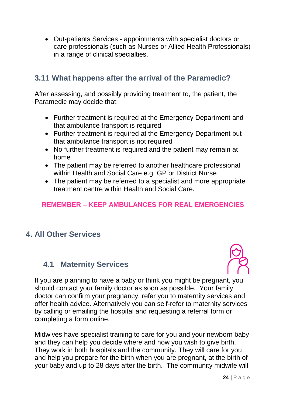Out-patients Services - appointments with specialist doctors or care professionals (such as Nurses or Allied Health Professionals) in a range of clinical specialties.

## **3.11 What happens after the arrival of the Paramedic?**

After assessing, and possibly providing treatment to, the patient, the Paramedic may decide that:

- Further treatment is required at the Emergency Department and that ambulance transport is required
- Further treatment is required at the Emergency Department but that ambulance transport is not required
- No further treatment is required and the patient may remain at home
- The patient may be referred to another healthcare professional within Health and Social Care e.g. GP or District Nurse
- The patient may be referred to a specialist and more appropriate treatment centre within Health and Social Care.

#### **REMEMBER – KEEP AMBULANCES FOR REAL EMERGENCIES**

### **4. All Other Services**

#### **4.1 Maternity Services**



If you are planning to have a baby or think you might be pregnant, you should contact your family doctor as soon as possible. Your family doctor can confirm your pregnancy, refer you to maternity services and offer health advice. Alternatively you can self-refer to maternity services by calling or emailing the hospital and requesting a referral form or completing a form online.

Midwives have specialist training to care for you and your newborn baby and they can help you decide where and how you wish to give birth. They work in both hospitals and the community. They will care for you and help you prepare for the birth when you are pregnant, at the birth of your baby and up to 28 days after the birth. The community midwife will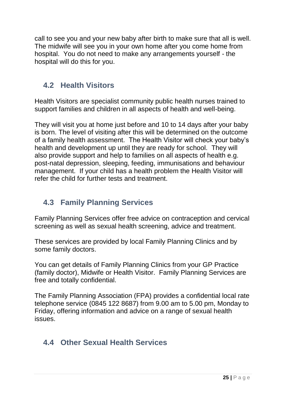call to see you and your new baby after birth to make sure that all is well. The midwife will see you in your own home after you come home from hospital. You do not need to make any arrangements yourself - the hospital will do this for you.

## **4.2 Health Visitors**

Health Visitors are specialist community public health nurses trained to support families and children in all aspects of health and well-being.

They will visit you at home just before and 10 to 14 days after your baby is born. The level of visiting after this will be determined on the outcome of a family health assessment. The Health Visitor will check your baby's health and development up until they are ready for school. They will also provide support and help to families on all aspects of health e.g. post-natal depression, sleeping, feeding, immunisations and behaviour management. If your child has a health problem the Health Visitor will refer the child for further tests and treatment.

## **4.3 Family Planning Services**

Family Planning Services offer free advice on contraception and cervical screening as well as sexual health screening, advice and treatment.

These services are provided by local Family Planning Clinics and by some family doctors.

You can get details of Family Planning Clinics from your GP Practice (family doctor), Midwife or Health Visitor. Family Planning Services are free and totally confidential.

The Family Planning Association (FPA) provides a confidential local rate telephone service (0845 122 8687) from 9.00 am to 5.00 pm, Monday to Friday, offering information and advice on a range of sexual health issues.

## **4.4 Other Sexual Health Services**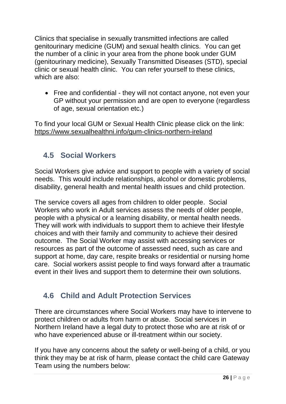Clinics that specialise in sexually transmitted infections are called genitourinary medicine (GUM) and sexual health clinics. You can get the number of a clinic in your area from the phone book under GUM (genitourinary medicine), Sexually Transmitted Diseases (STD), special clinic or sexual health clinic. You can refer yourself to these clinics, which are also:

 Free and confidential - they will not contact anyone, not even your GP without your permission and are open to everyone (regardless of age, sexual orientation etc.)

To find your local GUM or Sexual Health Clinic please click on the link: <https://www.sexualhealthni.info/gum-clinics-northern-ireland>

## **4.5 Social Workers**

Social Workers give advice and support to people with a variety of social needs. This would include relationships, alcohol or domestic problems, disability, general health and mental health issues and child protection.

The service covers all ages from children to older people. Social Workers who work in Adult services assess the needs of older people, people with a physical or a learning disability, or mental health needs. They will work with individuals to support them to achieve their lifestyle choices and with their family and community to achieve their desired outcome. The Social Worker may assist with accessing services or resources as part of the outcome of assessed need, such as care and support at home, day care, respite breaks or residential or nursing home care. Social workers assist people to find ways forward after a traumatic event in their lives and support them to determine their own solutions.

## **4.6 Child and Adult Protection Services**

There are circumstances where Social Workers may have to intervene to protect children or adults from harm or abuse. Social services in Northern Ireland have a legal duty to protect those who are at risk of or who have experienced abuse or ill-treatment within our society.

If you have any concerns about the safety or well-being of a child, or you think they may be at risk of harm, please contact the child care Gateway Team using the numbers below: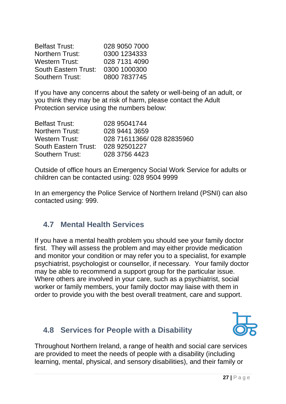| <b>Belfast Trust:</b>       | 028 9050 7000 |
|-----------------------------|---------------|
| <b>Northern Trust:</b>      | 0300 1234333  |
| <b>Western Trust:</b>       | 028 7131 4090 |
| <b>South Eastern Trust:</b> | 0300 1000300  |
| <b>Southern Trust:</b>      | 0800 7837745  |

If you have any concerns about the safety or well-being of an adult, or you think they may be at risk of harm, please contact the Adult Protection service using the numbers below:

| <b>Belfast Trust:</b>  | 028 95041744              |
|------------------------|---------------------------|
| <b>Northern Trust:</b> | 028 9441 3659             |
| Western Trust:         | 028 71611366/028 82835960 |
| South Eastern Trust:   | 028 92501227              |
| Southern Trust:        | 028 3756 4423             |

Outside of office hours an Emergency Social Work Service for adults or children can be contacted using: 028 9504 9999

In an emergency the Police Service of Northern Ireland (PSNI) can also contacted using: 999.

### **4.7 Mental Health Services**

If you have a mental health problem you should see your family doctor first. They will assess the problem and may either provide medication and monitor your condition or may refer you to a specialist, for example psychiatrist, psychologist or counsellor, if necessary. Your family doctor may be able to recommend a support group for the particular issue. Where others are involved in your care, such as a psychiatrist, social worker or family members, your family doctor may liaise with them in order to provide you with the best overall treatment, care and support.

### **4.8 Services for People with a Disability**



Throughout Northern Ireland, a range of health and social care services are provided to meet the needs of people with a disability (including learning, mental, physical, and sensory disabilities), and their family or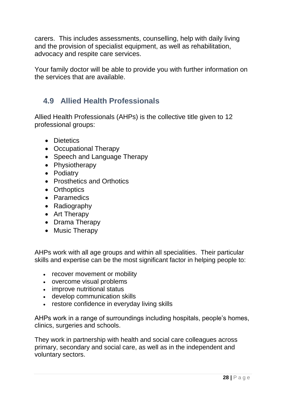carers. This includes assessments, counselling, help with daily living and the provision of specialist equipment, as well as rehabilitation, advocacy and respite care services.

Your family doctor will be able to provide you with further information on the services that are available.

## **4.9 Allied Health Professionals**

Allied Health Professionals (AHPs) is the collective title given to 12 professional groups:

- Dietetics
- Occupational Therapy
- Speech and Language Therapy
- Physiotherapy
- Podiatry
- Prosthetics and [Orthotics](http://www.belfasttrust.hscni.net/services/Orthoptics.htm)
- Orthoptics
- Paramedics
- Radiography
- Art Therapy
- Drama Therapy
- Music Therapy

AHPs work with all age groups and within all specialities. Their particular skills and expertise can be the most significant factor in helping people to:

- recover movement or mobility
- overcome visual problems
- improve nutritional status
- develop communication skills
- restore confidence in everyday living skills

AHPs work in a range of surroundings including hospitals, people's homes, clinics, surgeries and schools.

They work in partnership with health and social care colleagues across primary, secondary and social care, as well as in the independent and voluntary sectors.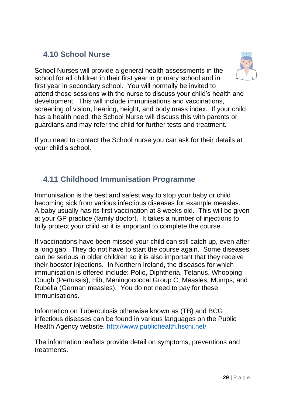## **4.10 School Nurse**

School Nurses will provide a general health assessments in the school for all children in their first year in primary school and in first year in secondary school. You will normally be invited to attend these sessions with the nurse to discuss your child's health and development. This will include immunisations and vaccinations, screening of vision, hearing, height, and body mass index. If your child has a health need, the School Nurse will discuss this with parents or guardians and may refer the child for further tests and treatment.

If you need to contact the School nurse you can ask for their details at your child's school.

## **4.11 Childhood Immunisation Programme**

Immunisation is the best and safest way to stop your baby or child becoming sick from various infectious diseases for example measles. A baby usually has its first vaccination at 8 weeks old. This will be given at your GP practice (family doctor). It takes a number of injections to fully protect your child so it is important to complete the course.

If vaccinations have been missed your child can still catch up, even after a long gap. They do not have to start the course again. Some diseases can be serious in older children so it is also important that they receive their booster injections. In Northern Ireland, the diseases for which immunisation is offered include: Polio, Diphtheria, Tetanus, Whooping Cough (Pertussis), Hib, Meningococcal Group C, Measles, Mumps, and Rubella (German measles). You do not need to pay for these immunisations.

Information on Tuberculosis otherwise known as (TB) and BCG infectious diseases can be found in various languages on the Public Health Agency website.<http://www.publichealth.hscni.net/>

The information leaflets provide detail on symptoms, preventions and treatments.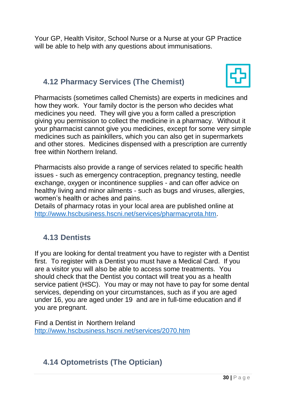Your GP, Health Visitor, School Nurse or a Nurse at your GP Practice will be able to help with any questions about immunisations.

## **4.12 Pharmacy Services (The Chemist)**



Pharmacists (sometimes called Chemists) are experts in medicines and how they work. Your family doctor is the person who decides what medicines you need. They will give you a form called a prescription giving you permission to collect the medicine in a pharmacy. Without it your pharmacist cannot give you medicines, except for some very simple medicines such as painkillers, which you can also get in supermarkets and other stores. Medicines dispensed with a prescription are currently free within Northern Ireland.

Pharmacists also provide a range of services related to specific health issues - such as emergency contraception, pregnancy testing, needle exchange, oxygen or incontinence supplies - and can offer advice on healthy living and minor ailments - such as bugs and viruses, allergies, women's health or aches and pains.

Details of pharmacy rotas in your local area are published online at [http://www.hscbusiness.hscni.net/services/pharmacyrota.htm.](http://www.hscbusiness.hscni.net/services/pharmacyrota.htm)

## **4.13 Dentists**

If you are looking for dental treatment you have to register with a Dentist first. To register with a Dentist you must have a Medical Card. If you are a visitor you will also be able to access some treatments. You should check that the Dentist you contact will treat you as a health service patient (HSC). You may or may not have to pay for some dental services, depending on your circumstances, such as if you are aged under 16, you are aged under 19 and are in full-time education and if you are pregnant.

Find a Dentist in Northern Ireland <http://www.hscbusiness.hscni.net/services/2070.htm>

## **4.14 Optometrists (The Optician)**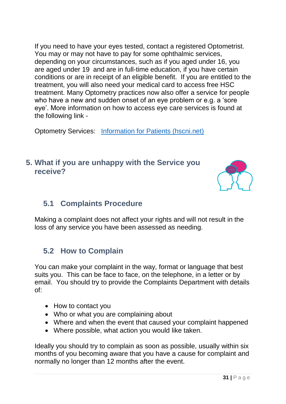If you need to have your eyes tested, contact a registered Optometrist. You may or may not have to pay for some ophthalmic services, depending on your circumstances, such as if you aged under 16, you are aged under 19 and are in full-time education, if you have certain conditions or are in receipt of an eligible benefit. If you are entitled to the treatment, you will also need your medical card to access free HSC treatment. Many Optometry practices now also offer a service for people who have a new and sudden onset of an eye problem or e.g. a 'sore eye'. More information on how to access eye care services is found at the following link -

Optometry Services: [Information for Patients \(hscni.net\)](https://hscbusiness.hscni.net/services/1836.htm)

## **5. What if you are unhappy with the Service you receive?**



## **5.1 Complaints Procedure**

Making a complaint does not affect your rights and will not result in the loss of any service you have been assessed as needing.

## **5.2 How to Complain**

You can make your complaint in the way, format or language that best suits you. This can be face to face, on the telephone, in a letter or by email. You should try to provide the Complaints Department with details of:

- How to contact you
- Who or what you are complaining about
- Where and when the event that caused your complaint happened
- Where possible, what action you would like taken.

Ideally you should try to complain as soon as possible, usually within six months of you becoming aware that you have a cause for complaint and normally no longer than 12 months after the event.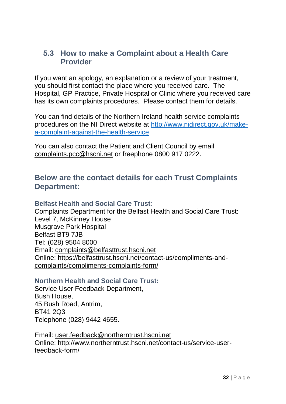#### **5.3 How to make a Complaint about a Health Care Provider**

If you want an apology, an explanation or a review of your treatment, you should first contact the place where you received care. The Hospital, GP Practice, Private Hospital or Clinic where you received care has its own complaints procedures. Please contact them for details.

You can find details of the Northern Ireland health service complaints procedures on the NI Direct website at [http://www.nidirect.gov.uk/make](http://www.nidirect.gov.uk/make-a-complaint-against-the-health-service)[a-complaint-against-the-health-service](http://www.nidirect.gov.uk/make-a-complaint-against-the-health-service)

You can also contact the Patient and Client Council by email [complaints.pcc@hscni.net](mailto:complaints.pcc@hscni.net) or freephone 0800 917 0222.

#### **Below are the contact details for each Trust Complaints Department:**

#### **Belfast Health and Social Care Trust**:

Complaints Department for the Belfast Health and Social Care Trust: Level 7, McKinney House Musgrave Park Hospital Belfast BT9 7JB Tel: (028) 9504 8000 Email: [complaints@belfasttrust.hscni.net](mailto:complaints@belfasttrust.hscni.net)  Online: [https://belfasttrust.hscni.net/contact-us/compliments-and](https://belfasttrust.hscni.net/contact-us/compliments-and-complaints/compliments-complaints-form/)[complaints/compliments-complaints-form/](https://belfasttrust.hscni.net/contact-us/compliments-and-complaints/compliments-complaints-form/)

#### **Northern Health and Social Care Trust:**

Service User Feedback Department, Bush House, 45 Bush Road, Antrim, BT41 2Q3 Telephone (028) 9442 4655.

Email: [user.feedback@northerntrust.hscni.net](mailto:user.feedback@northerntrust.hscni.net)  Online: http://www.northerntrust.hscni.net/contact-us/service-userfeedback-form/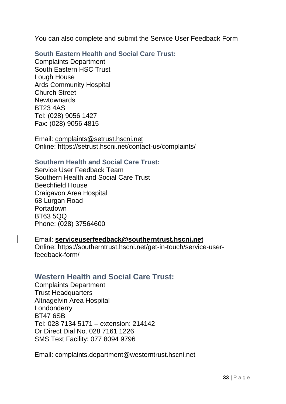You can also complete and submit the Service User Feedback Form

**South Eastern Health and Social Care Trust:** 

Complaints Department South Eastern HSC Trust Lough House Ards Community Hospital Church Street **Newtownards** BT23 4AS Tel: (028) 9056 1427 Fax: (028) 9056 4815

Email: [complaints@setrust.hscni.net](mailto:complaints@setrust.hscni.net) Online: https://setrust.hscni.net/contact-us/complaints/

#### **Southern Health and Social Care Trust:**

Service User Feedback Team Southern Health and Social Care Trust Beechfield House Craigavon Area Hospital 68 Lurgan Road Portadown BT63 5QQ Phone: (028) 37564600

#### Email: **[serviceuserfeedback@southerntrust.hscni.net](mailto:serviceuserfeedback@southerntrust.hscni.net)** Online: https://southerntrust.hscni.net/get-in-touch/service-userfeedback-form/

#### **Western Health and Social Care Trust:**

Complaints Department Trust Headquarters Altnagelvin Area Hospital Londonderry BT47 6SB Tel: 028 7134 5171 – extension: 214142 Or Direct Dial No. 028 7161 1226 SMS Text Facility: 077 8094 9796

Email: complaints.department@westerntrust.hscni.net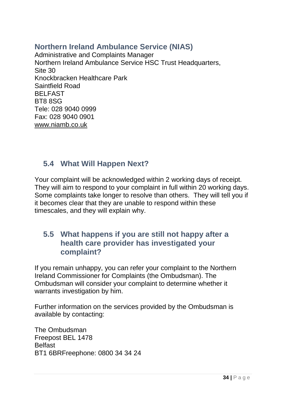## **Northern Ireland Ambulance Service (NIAS)**

Administrative and Complaints Manager Northern Ireland Ambulance Service HSC Trust Headquarters, Site 30 Knockbracken Healthcare Park Saintfield Road BELFAST BT8 8SG Tele: 028 9040 0999 Fax: 028 9040 0901 [www.niamb.co.uk](http://www.niamb.co.uk/)

### **5.4 What Will Happen Next?**

Your complaint will be acknowledged within 2 working days of receipt. They will aim to respond to your complaint in full within 20 working days. Some complaints take longer to resolve than others. They will tell you if it becomes clear that they are unable to respond within these timescales, and they will explain why.

#### **5.5 What happens if you are still not happy after a health care provider has investigated your complaint?**

If you remain unhappy, you can refer your complaint to the Northern Ireland Commissioner for Complaints (the Ombudsman). The Ombudsman will consider your complaint to determine whether it warrants investigation by him.

Further information on the services provided by the Ombudsman is available by contacting:

The Ombudsman Freepost BEL 1478 **Belfast** BT1 6BRFreephone: 0800 34 34 24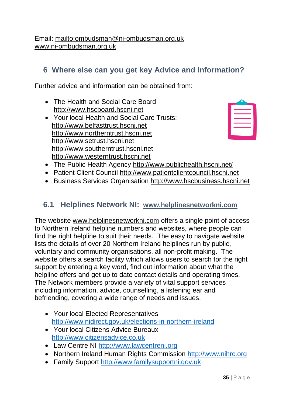Email:<mailto:ombudsman@ni-ombudsman.org.uk> [www.ni-ombudsman.org.uk](http://www.ni-ombudsman.org.uk/)

## **6 Where else can you get key Advice and Information?**

Further advice and information can be obtained from:

- The Health and Social Care Board [http://www.hscboard.hscni.net](http://www.hscboard.hscni.net/)
- Your local Health and Social Care Trusts: [http://www.belfasttrust.hscni.net](http://www.belfasttrust.hscni.net/)  [http://www.northerntrust.hscni.net](http://www.northerntrust.hscni.net/) [http://www.setrust.hscni.net](http://www.setrust.hscni.net/) [http://www.southerntrust.hscni.net](http://www.southerntrust.hscni.net/) [http://www.westerntrust.hscni.net](http://www.westerntrust.hscni.net/)

- The Public Health Agency<http://www.publichealth.hscni.net/>
- Patient Client Council [http://www.patientclientcouncil.hscni.net](http://www.patientclientcouncil.hscni.net/)
- Business Services Organisation [http://www.hscbusiness.hscni.net](http://www.hscbusiness.hscni.net/)

#### **6.1 Helplines Network NI:****[www.helplinesnetworkni.com](http://www.helplinesnetworkni.com/)**

The website [www.helplinesnetworkni.com](http://www.helplinesnetworkni.com/) offers a single point of access to Northern Ireland helpline numbers and websites, where people can find the right helpline to suit their needs. The easy to navigate website lists the details of over 20 Northern Ireland helplines run by public, voluntary and community organisations, all non-profit making. The website offers a search facility which allows users to search for the right support by entering a key word, find out information about what the helpline offers and get up to date contact details and operating times. The Network members provide a variety of vital support services including information, advice, counselling, a listening ear and befriending, covering a wide range of needs and issues.

- Your local Elected Representatives <http://www.nidirect.gov.uk/elections-in-northern-ireland>
- Your local Citizens Advice Bureaux [http://www.citizensadvice.co.uk](http://www.citizensadvice.co.uk/)
- Law Centre NI [http://www.lawcentreni.org](http://www.lawcentreni.org/)
- Northern Ireland Human Rights Commission [http://www.nihrc.org](http://www.nihrc.org/)
- Family Support [http://www.familysupportni.gov.uk](http://www.familysupportni.gov.uk/)